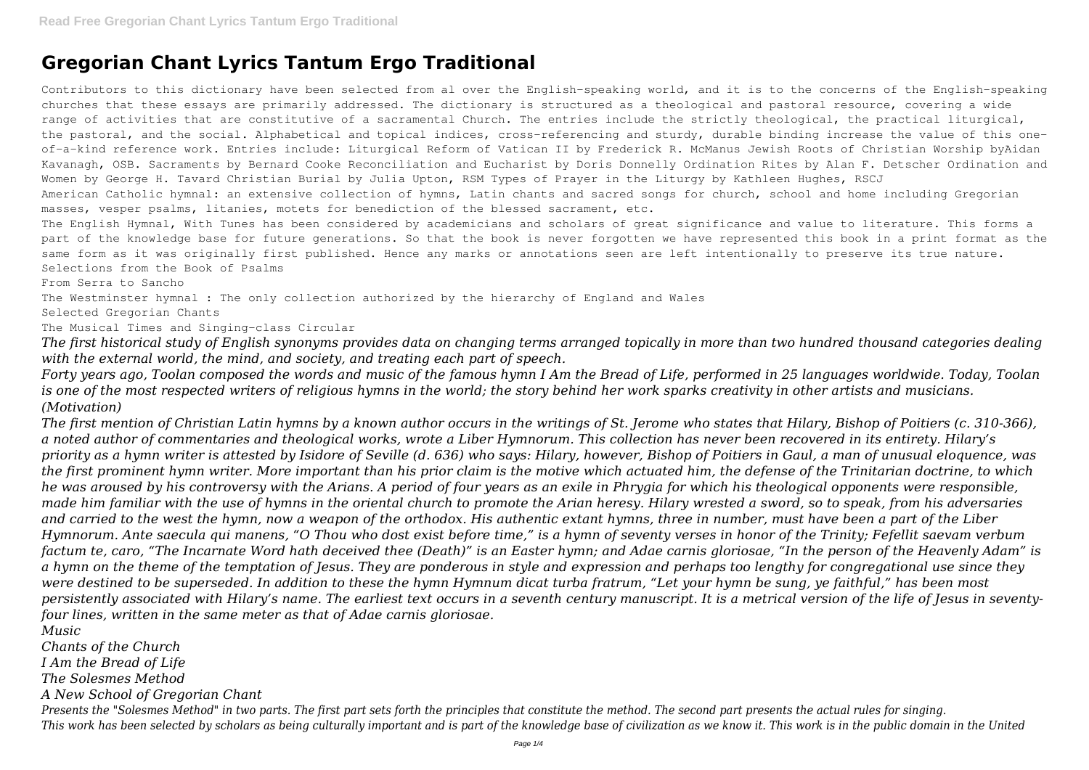## **Gregorian Chant Lyrics Tantum Ergo Traditional**

Contributors to this dictionary have been selected from al over the English-speaking world, and it is to the concerns of the English-speaking churches that these essays are primarily addressed. The dictionary is structured as a theological and pastoral resource, covering a wide range of activities that are constitutive of a sacramental Church. The entries include the strictly theological, the practical liturgical, the pastoral, and the social. Alphabetical and topical indices, cross-referencing and sturdy, durable binding increase the value of this oneof-a-kind reference work. Entries include: Liturgical Reform of Vatican II by Frederick R. McManus Jewish Roots of Christian Worship byAidan Kavanagh, OSB. Sacraments by Bernard Cooke Reconciliation and Eucharist by Doris Donnelly Ordination Rites by Alan F. Detscher Ordination and Women by George H. Tavard Christian Burial by Julia Upton, RSM Types of Prayer in the Liturgy by Kathleen Hughes, RSCJ American Catholic hymnal: an extensive collection of hymns, Latin chants and sacred songs for church, school and home including Gregorian masses, vesper psalms, litanies, motets for benediction of the blessed sacrament, etc.

The Westminster hymnal : The only collection authorized by the hierarchy of England and Wales Selected Gregorian Chants

The English Hymnal, With Tunes has been considered by academicians and scholars of great significance and value to literature. This forms a part of the knowledge base for future generations. So that the book is never forgotten we have represented this book in a print format as the same form as it was originally first published. Hence any marks or annotations seen are left intentionally to preserve its true nature. Selections from the Book of Psalms

From Serra to Sancho

The Musical Times and Singing-class Circular

*The first historical study of English synonyms provides data on changing terms arranged topically in more than two hundred thousand categories dealing with the external world, the mind, and society, and treating each part of speech.*

*Forty years ago, Toolan composed the words and music of the famous hymn I Am the Bread of Life, performed in 25 languages worldwide. Today, Toolan is one of the most respected writers of religious hymns in the world; the story behind her work sparks creativity in other artists and musicians. (Motivation)*

*The first mention of Christian Latin hymns by a known author occurs in the writings of St. Jerome who states that Hilary, Bishop of Poitiers (c. 310-366), a noted author of commentaries and theological works, wrote a Liber Hymnorum. This collection has never been recovered in its entirety. Hilary's priority as a hymn writer is attested by Isidore of Seville (d. 636) who says: Hilary, however, Bishop of Poitiers in Gaul, a man of unusual eloquence, was the first prominent hymn writer. More important than his prior claim is the motive which actuated him, the defense of the Trinitarian doctrine, to which he was aroused by his controversy with the Arians. A period of four years as an exile in Phrygia for which his theological opponents were responsible, made him familiar with the use of hymns in the oriental church to promote the Arian heresy. Hilary wrested a sword, so to speak, from his adversaries and carried to the west the hymn, now a weapon of the orthodox. His authentic extant hymns, three in number, must have been a part of the Liber Hymnorum. Ante saecula qui manens, "O Thou who dost exist before time," is a hymn of seventy verses in honor of the Trinity; Fefellit saevam verbum factum te, caro, "The Incarnate Word hath deceived thee (Death)" is an Easter hymn; and Adae carnis gloriosae, "In the person of the Heavenly Adam" is a hymn on the theme of the temptation of Jesus. They are ponderous in style and expression and perhaps too lengthy for congregational use since they were destined to be superseded. In addition to these the hymn Hymnum dicat turba fratrum, "Let your hymn be sung, ye faithful," has been most persistently associated with Hilary's name. The earliest text occurs in a seventh century manuscript. It is a metrical version of the life of Jesus in seventyfour lines, written in the same meter as that of Adae carnis gloriosae.*

*Music*

*Chants of the Church*

*I Am the Bread of Life*

*The Solesmes Method*

*A New School of Gregorian Chant*

*Presents the "Solesmes Method" in two parts. The first part sets forth the principles that constitute the method. The second part presents the actual rules for singing. This work has been selected by scholars as being culturally important and is part of the knowledge base of civilization as we know it. This work is in the public domain in the United*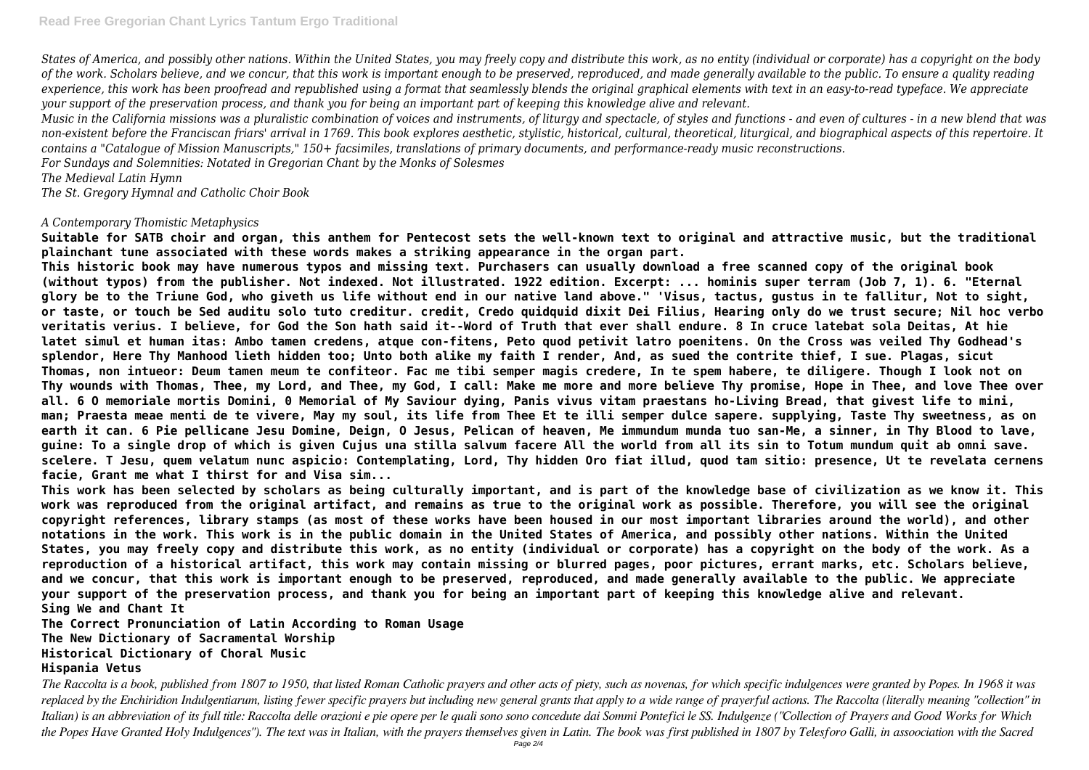*States of America, and possibly other nations. Within the United States, you may freely copy and distribute this work, as no entity (individual or corporate) has a copyright on the body of the work. Scholars believe, and we concur, that this work is important enough to be preserved, reproduced, and made generally available to the public. To ensure a quality reading experience, this work has been proofread and republished using a format that seamlessly blends the original graphical elements with text in an easy-to-read typeface. We appreciate your support of the preservation process, and thank you for being an important part of keeping this knowledge alive and relevant.*

*Music in the California missions was a pluralistic combination of voices and instruments, of liturgy and spectacle, of styles and functions - and even of cultures - in a new blend that was non-existent before the Franciscan friars' arrival in 1769. This book explores aesthetic, stylistic, historical, cultural, theoretical, liturgical, and biographical aspects of this repertoire. It contains a "Catalogue of Mission Manuscripts," 150+ facsimiles, translations of primary documents, and performance-ready music reconstructions. For Sundays and Solemnities: Notated in Gregorian Chant by the Monks of Solesmes*

*The Medieval Latin Hymn*

*The St. Gregory Hymnal and Catholic Choir Book*

## *A Contemporary Thomistic Metaphysics*

**Suitable for SATB choir and organ, this anthem for Pentecost sets the well-known text to original and attractive music, but the traditional plainchant tune associated with these words makes a striking appearance in the organ part.**

**This historic book may have numerous typos and missing text. Purchasers can usually download a free scanned copy of the original book (without typos) from the publisher. Not indexed. Not illustrated. 1922 edition. Excerpt: ... hominis super terram (Job 7, 1). 6. "Eternal glory be to the Triune God, who giveth us life without end in our native land above." 'Visus, tactus, gustus in te fallitur, Not to sight, or taste, or touch be Sed auditu solo tuto creditur. credit, Credo quidquid dixit Dei Filius, Hearing only do we trust secure; Nil hoc verbo veritatis verius. I believe, for God the Son hath said it--Word of Truth that ever shall endure. 8 In cruce latebat sola Deitas, At hie latet simul et human itas: Ambo tamen credens, atque con-fitens, Peto quod petivit latro poenitens. On the Cross was veiled Thy Godhead's splendor, Here Thy Manhood lieth hidden too; Unto both alike my faith I render, And, as sued the contrite thief, I sue. Plagas, sicut Thomas, non intueor: Deum tamen meum te confiteor. Fac me tibi semper magis credere, In te spem habere, te diligere. Though I look not on Thy wounds with Thomas, Thee, my Lord, and Thee, my God, I call: Make me more and more believe Thy promise, Hope in Thee, and love Thee over all. 6 O memoriale mortis Domini, 0 Memorial of My Saviour dying, Panis vivus vitam praestans ho-Living Bread, that givest life to mini, man; Praesta meae menti de te vivere, May my soul, its life from Thee Et te illi semper dulce sapere. supplying, Taste Thy sweetness, as on earth it can. 6 Pie pellicane Jesu Domine, Deign, O Jesus, Pelican of heaven, Me immundum munda tuo san-Me, a sinner, in Thy Blood to lave, guine: To a single drop of which is given Cujus una stilla salvum facere All the world from all its sin to Totum mundum quit ab omni save. scelere. T Jesu, quem velatum nunc aspicio: Contemplating, Lord, Thy hidden Oro fiat illud, quod tam sitio: presence, Ut te revelata cernens facie, Grant me what I thirst for and Visa sim...**

**This work has been selected by scholars as being culturally important, and is part of the knowledge base of civilization as we know it. This work was reproduced from the original artifact, and remains as true to the original work as possible. Therefore, you will see the original copyright references, library stamps (as most of these works have been housed in our most important libraries around the world), and other notations in the work. This work is in the public domain in the United States of America, and possibly other nations. Within the United States, you may freely copy and distribute this work, as no entity (individual or corporate) has a copyright on the body of the work. As a reproduction of a historical artifact, this work may contain missing or blurred pages, poor pictures, errant marks, etc. Scholars believe, and we concur, that this work is important enough to be preserved, reproduced, and made generally available to the public. We appreciate your support of the preservation process, and thank you for being an important part of keeping this knowledge alive and relevant. Sing We and Chant It**

**The Correct Pronunciation of Latin According to Roman Usage The New Dictionary of Sacramental Worship Historical Dictionary of Choral Music Hispania Vetus**

*The Raccolta is a book, published from 1807 to 1950, that listed Roman Catholic prayers and other acts of piety, such as novenas, for which specific indulgences were granted by Popes. In 1968 it was replaced by the Enchiridion Indulgentiarum, listing fewer specific prayers but including new general grants that apply to a wide range of prayerful actions. The Raccolta (literally meaning "collection" in Italian) is an abbreviation of its full title: Raccolta delle orazioni e pie opere per le quali sono sono concedute dai Sommi Pontefici le SS. Indulgenze ("Collection of Prayers and Good Works for Which the Popes Have Granted Holy Indulgences"). The text was in Italian, with the prayers themselves given in Latin. The book was first published in 1807 by Telesforo Galli, in assoociation with the Sacred* Page 2/4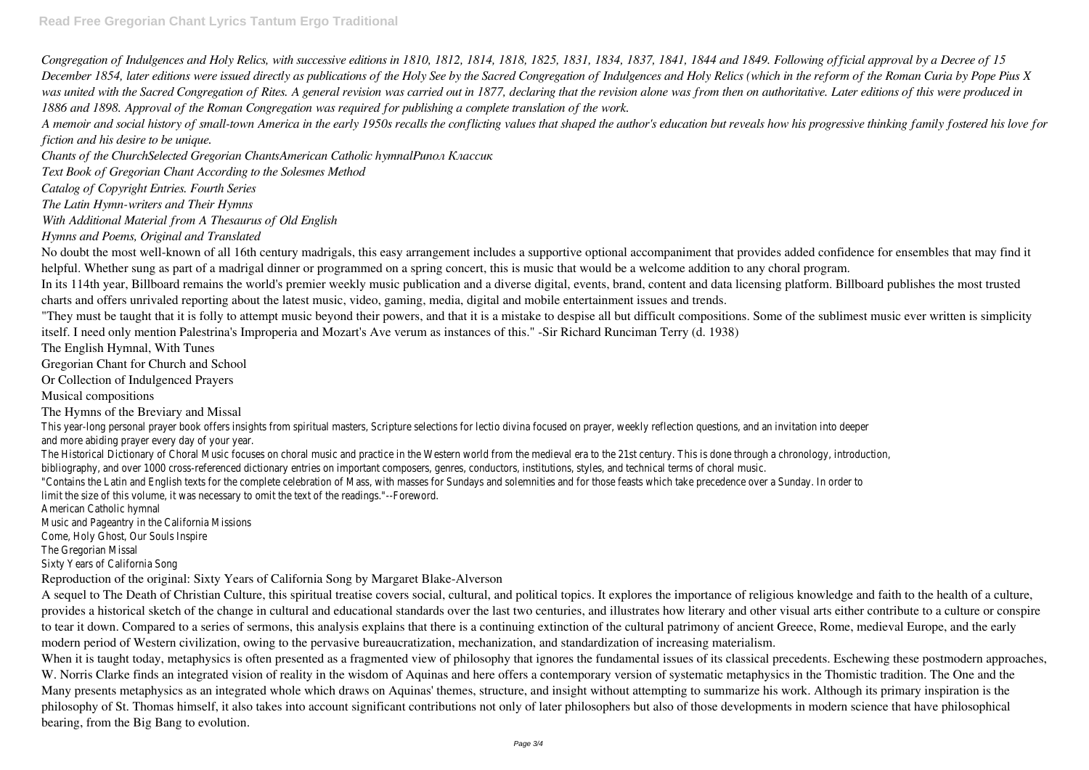*Congregation of Indulgences and Holy Relics, with successive editions in 1810, 1812, 1814, 1818, 1825, 1831, 1834, 1837, 1841, 1844 and 1849. Following official approval by a Decree of 15 December 1854, later editions were issued directly as publications of the Holy See by the Sacred Congregation of Indulgences and Holy Relics (which in the reform of the Roman Curia by Pope Pius X was united with the Sacred Congregation of Rites. A general revision was carried out in 1877, declaring that the revision alone was from then on authoritative. Later editions of this were produced in 1886 and 1898. Approval of the Roman Congregation was required for publishing a complete translation of the work.*

*A memoir and social history of small-town America in the early 1950s recalls the conflicting values that shaped the author's education but reveals how his progressive thinking family fostered his love for fiction and his desire to be unique.*

*Chants of the ChurchSelected Gregorian ChantsAmerican Catholic hymnalРипол Классик*

*Text Book of Gregorian Chant According to the Solesmes Method*

*Catalog of Copyright Entries. Fourth Series*

*The Latin Hymn-writers and Their Hymns*

*With Additional Material from A Thesaurus of Old English*

*Hymns and Poems, Original and Translated*

This year-long personal prayer book offers insights from spiritual masters, Scripture selections for lectio divina focused on prayer, weekly reflection questions, and and more abiding prayer every day of your year.

The Historical Dictionary of Choral Music focuses on choral music and practice in the Western world from the medieval era to the 21st century. This is done thro bibliography, and over 1000 cross-referenced dictionary entries on important composers, genres, conductors, institutions, styles, and technical terms of choral must be thoral must be thoral music. "Contains the Latin and English texts for the complete celebration of Mass, with masses for Sundays and solemnities and for those feasts which take precedence limit the size of this volume, it was necessary to omit the text of the readings."--Foreword

No doubt the most well-known of all 16th century madrigals, this easy arrangement includes a supportive optional accompaniment that provides added confidence for ensembles that may find it helpful. Whether sung as part of a madrigal dinner or programmed on a spring concert, this is music that would be a welcome addition to any choral program. In its 114th year, Billboard remains the world's premier weekly music publication and a diverse digital, events, brand, content and data licensing platform. Billboard publishes the most trusted charts and offers unrivaled reporting about the latest music, video, gaming, media, digital and mobile entertainment issues and trends.

"They must be taught that it is folly to attempt music beyond their powers, and that it is a mistake to despise all but difficult compositions. Some of the sublimest music ever written is simplicity itself. I need only mention Palestrina's Improperia and Mozart's Ave verum as instances of this." -Sir Richard Runciman Terry (d. 1938)

The English Hymnal, With Tunes

Gregorian Chant for Church and School

Or Collection of Indulgenced Prayers

Musical compositions

The Hymns of the Breviary and Missal

When it is taught today, metaphysics is often presented as a fragmented view of philosophy that ignores the fundamental issues of its classical precedents. Eschewing these postmodern approaches, W. Norris Clarke finds an integrated vision of reality in the wisdom of Aquinas and here offers a contemporary version of systematic metaphysics in the Thomistic tradition. The One and the Many presents metaphysics as an integrated whole which draws on Aquinas' themes, structure, and insight without attempting to summarize his work. Although its primary inspiration is the philosophy of St. Thomas himself, it also takes into account significant contributions not only of later philosophers but also of those developments in modern science that have philosophical bearing, from the Big Bang to evolution.

American Catholic hymnal

Music and Pageantry in the California Missions

Come, Holy Ghost, Our Souls Inspire

The Gregorian Missal

Sixty Years of California Song

Reproduction of the original: Sixty Years of California Song by Margaret Blake-Alverson

A sequel to The Death of Christian Culture, this spiritual treatise covers social, cultural, and political topics. It explores the importance of religious knowledge and faith to the health of a culture, provides a historical sketch of the change in cultural and educational standards over the last two centuries, and illustrates how literary and other visual arts either contribute to a culture or conspire to tear it down. Compared to a series of sermons, this analysis explains that there is a continuing extinction of the cultural patrimony of ancient Greece, Rome, medieval Europe, and the early modern period of Western civilization, owing to the pervasive bureaucratization, mechanization, and standardization of increasing materialism.